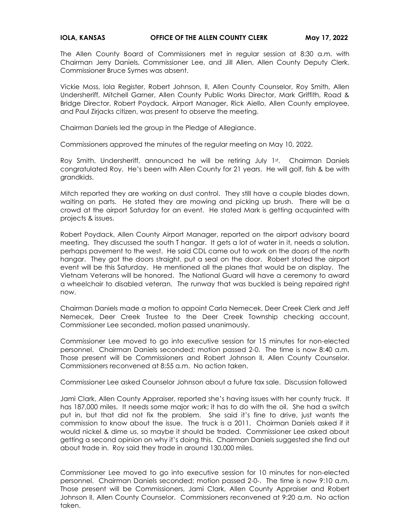The Allen County Board of Commissioners met in regular session at 8:30 a.m. with Chairman Jerry Daniels, Commissioner Lee, and Jill Allen, Allen County Deputy Clerk. Commissioner Bruce Symes was absent.

Vickie Moss, Iola Register, Robert Johnson, II, Allen County Counselor, Roy Smith, Allen Undersheriff, Mitchell Garner, Allen County Public Works Director, Mark Griffith, Road & Bridge Director, Robert Poydack, Airport Manager, Rick Aiello, Allen County employee, and Paul Zirjacks citizen, was present to observe the meeting.

Chairman Daniels led the group in the Pledge of Allegiance.

Commissioners approved the minutes of the regular meeting on May 10, 2022.

Roy Smith, Undersheriff, announced he will be retiring July 1st. Chairman Daniels congratulated Roy. He's been with Allen County for 21 years. He will golf, fish & be with grandkids.

Mitch reported they are working on dust control. They still have a couple blades down, waiting on parts. He stated they are mowing and picking up brush. There will be a crowd at the airport Saturday for an event. He stated Mark is getting acquainted with projects & issues.

Robert Poydack, Allen County Airport Manager, reported on the airport advisory board meeting. They discussed the south T hangar. It gets a lot of water in it, needs a solution. perhaps pavement to the west. He said CDL came out to work on the doors of the north hangar. They got the doors straight, put a seal on the door. Robert stated the airport event will be this Saturday. He mentioned all the planes that would be on display. The Vietnam Veterans will be honored. The National Guard will have a ceremony to award a wheelchair to disabled veteran. The runway that was buckled is being repaired right now.

Chairman Daniels made a motion to appoint Carla Nemecek, Deer Creek Clerk and Jeff Nemecek, Deer Creek Trustee to the Deer Creek Township checking account, Commissioner Lee seconded, motion passed unanimously.

Commissioner Lee moved to go into executive session for 15 minutes for non-elected personnel. Chairman Daniels seconded; motion passed 2-0. The time is now 8:40 a.m. Those present will be Commissioners and Robert Johnson II, Allen County Counselor. Commissioners reconvened at 8:55 a.m. No action taken.

Commissioner Lee asked Counselor Johnson about a future tax sale. Discussion followed

Jami Clark, Allen County Appraiser, reported she's having issues with her county truck. It has 187,000 miles. It needs some major work; it has to do with the oil. She had a switch put in, but that did not fix the problem. She said it's fine to drive, just wants the commission to know about the issue. The truck is a 2011. Chairman Daniels asked if it would nickel & dime us, so maybe it should be traded. Commissioner Lee asked about getting a second opinion on why it's doing this. Chairman Daniels suggested she find out about trade in. Roy said they trade in around 130,000 miles.

Commissioner Lee moved to go into executive session for 10 minutes for non-elected personnel. Chairman Daniels seconded; motion passed 2-0-. The time is now 9:10 a.m. Those present will be Commissioners, Jami Clark, Allen County Appraiser and Robert Johnson II, Allen County Counselor. Commissioners reconvened at 9:20 a.m. No action taken.